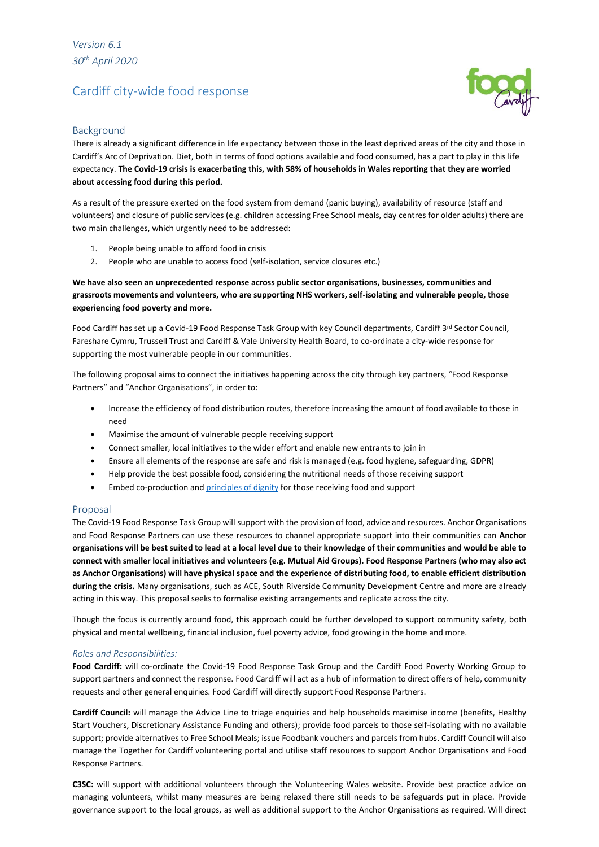# Cardiff city-wide food response



## Background

There is already a significant difference in life expectancy between those in the least deprived areas of the city and those in Cardiff's Arc of Deprivation. Diet, both in terms of food options available and food consumed, has a part to play in this life expectancy. **The Covid-19 crisis is exacerbating this, with 58% of households in Wales reporting that they are worried about accessing food during this period.**

As a result of the pressure exerted on the food system from demand (panic buying), availability of resource (staff and volunteers) and closure of public services (e.g. children accessing Free School meals, day centres for older adults) there are two main challenges, which urgently need to be addressed:

- 1. People being unable to afford food in crisis
- 2. People who are unable to access food (self-isolation, service closures etc.)

## **We have also seen an unprecedented response across public sector organisations, businesses, communities and grassroots movements and volunteers, who are supporting NHS workers, self-isolating and vulnerable people, those experiencing food poverty and more.**

Food Cardiff has set up a Covid-19 Food Response Task Group with key Council departments, Cardiff 3rd Sector Council, Fareshare Cymru, Trussell Trust and Cardiff & Vale University Health Board, to co-ordinate a city-wide response for supporting the most vulnerable people in our communities.

The following proposal aims to connect the initiatives happening across the city through key partners, "Food Response Partners" and "Anchor Organisations", in order to:

- Increase the efficiency of food distribution routes, therefore increasing the amount of food available to those in need
- Maximise the amount of vulnerable people receiving support
- Connect smaller, local initiatives to the wider effort and enable new entrants to join in
- Ensure all elements of the response are safe and risk is managed (e.g. food hygiene, safeguarding, GDPR)
- Help provide the best possible food, considering the nutritional needs of those receiving support
- Embed co-production an[d principles of dignity](http://www.nourishscotland.org/resources/guidance-for-community-responses-to-coronavirus/) for those receiving food and support

### Proposal

The Covid-19 Food Response Task Group will support with the provision of food, advice and resources. Anchor Organisations and Food Response Partners can use these resources to channel appropriate support into their communities can **Anchor organisations will be best suited to lead at a local level due to their knowledge of their communities and would be able to connect with smaller local initiatives and volunteers (e.g. Mutual Aid Groups). Food Response Partners (who may also act as Anchor Organisations) will have physical space and the experience of distributing food, to enable efficient distribution during the crisis.** Many organisations, such as ACE, South Riverside Community Development Centre and more are already acting in this way. This proposal seeks to formalise existing arrangements and replicate across the city.

Though the focus is currently around food, this approach could be further developed to support community safety, both physical and mental wellbeing, financial inclusion, fuel poverty advice, food growing in the home and more.

### *Roles and Responsibilities:*

**Food Cardiff:** will co-ordinate the Covid-19 Food Response Task Group and the Cardiff Food Poverty Working Group to support partners and connect the response. Food Cardiff will act as a hub of information to direct offers of help, community requests and other general enquiries. Food Cardiff will directly support Food Response Partners.

**Cardiff Council:** will manage the Advice Line to triage enquiries and help households maximise income (benefits, Healthy Start Vouchers, Discretionary Assistance Funding and others); provide food parcels to those self-isolating with no available support; provide alternatives to Free School Meals; issue Foodbank vouchers and parcels from hubs. Cardiff Council will also manage the Together for Cardiff volunteering portal and utilise staff resources to support Anchor Organisations and Food Response Partners.

**C3SC:** will support with additional volunteers through the Volunteering Wales website. Provide best practice advice on managing volunteers, whilst many measures are being relaxed there still needs to be safeguards put in place. Provide governance support to the local groups, as well as additional support to the Anchor Organisations as required. Will direct